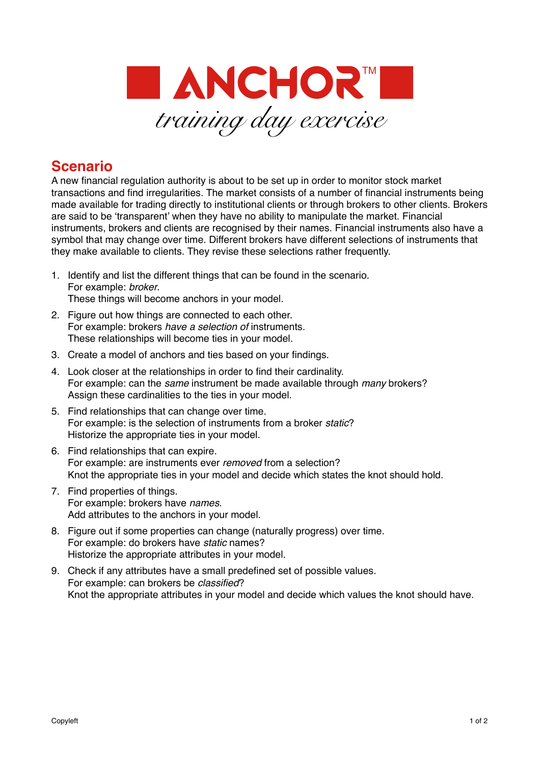

## **Scenario**

A new financial regulation authority is about to be set up in order to monitor stock market transactions and find irregularities. The market consists of a number of financial instruments being made available for trading directly to institutional clients or through brokers to other clients. Brokers are said to be 'transparent' when they have no ability to manipulate the market. Financial instruments, brokers and clients are recognised by their names. Financial instruments also have a symbol that may change over time. Different brokers have different selections of instruments that they make available to clients. They revise these selections rather frequently.

- 1. Identify and list the different things that can be found in the scenario. For example: *broker*. These things will become anchors in your model.
- 2. Figure out how things are connected to each other. For example: brokers *have a selection of* instruments. These relationships will become ties in your model.
- 3. Create a model of anchors and ties based on your findings.
- 4. Look closer at the relationships in order to find their cardinality. For example: can the *same* instrument be made available through *many* brokers? Assign these cardinalities to the ties in your model.
- 5. Find relationships that can change over time. For example: is the selection of instruments from a broker *static*? Historize the appropriate ties in your model.
- 6. Find relationships that can expire. For example: are instruments ever *removed* from a selection? Knot the appropriate ties in your model and decide which states the knot should hold.
- 7. Find properties of things. For example: brokers have *names*. Add attributes to the anchors in your model.
- 8. Figure out if some properties can change (naturally progress) over time. For example: do brokers have *static* names? Historize the appropriate attributes in your model.
- 9. Check if any attributes have a small predefined set of possible values. For example: can brokers be *classified*? Knot the appropriate attributes in your model and decide which values the knot should have.